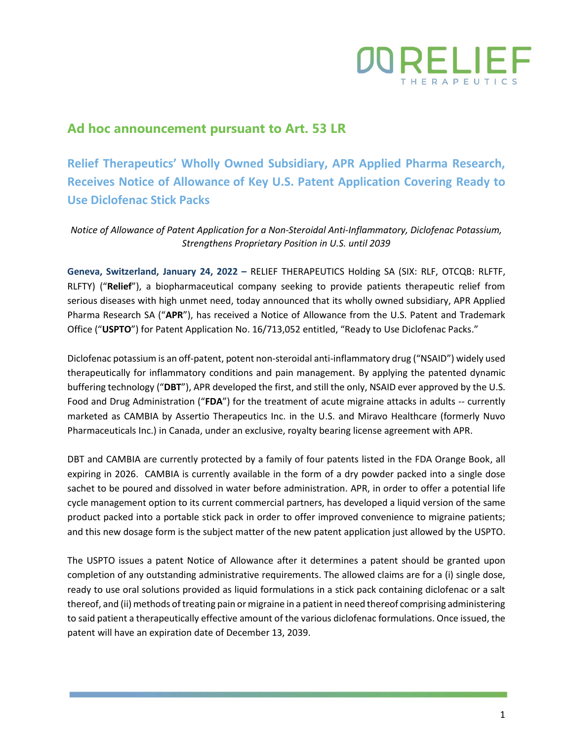

## **Ad hoc announcement pursuant to Art. 53 LR**

**Relief Therapeutics' Wholly Owned Subsidiary, APR Applied Pharma Research, Receives Notice of Allowance of Key U.S. Patent Application Covering Ready to Use Diclofenac Stick Packs**

*Notice of Allowance of Patent Application for a Non-Steroidal Anti-Inflammatory, Diclofenac Potassium, Strengthens Proprietary Position in U.S. until 2039*

**Geneva, Switzerland, January 24, 2022 –** RELIEF THERAPEUTICS Holding SA (SIX: RLF, OTCQB: RLFTF, RLFTY) ("**Relief**"), a biopharmaceutical company seeking to provide patients therapeutic relief from serious diseases with high unmet need, today announced that its wholly owned subsidiary, APR Applied Pharma Research SA ("**APR**"), has received a Notice of Allowance from the U.S. Patent and Trademark Office ("**USPTO**") for Patent Application No. 16/713,052 entitled, "Ready to Use Diclofenac Packs."

Diclofenac potassium is an off-patent, potent non-steroidal anti-inflammatory drug ("NSAID") widely used therapeutically for inflammatory conditions and pain management. By applying the patented dynamic buffering technology ("**DBT**"), APR developed the first, and still the only, NSAID ever approved by the U.S. Food and Drug Administration ("**FDA**") for the treatment of acute migraine attacks in adults -- currently marketed as CAMBIA by Assertio Therapeutics Inc. in the U.S. and Miravo Healthcare (formerly Nuvo Pharmaceuticals Inc.) in Canada, under an exclusive, royalty bearing license agreement with APR.

DBT and CAMBIA are currently protected by a family of four patents listed in the FDA Orange Book, all expiring in 2026. CAMBIA is currently available in the form of a dry powder packed into a single dose sachet to be poured and dissolved in water before administration. APR, in order to offer a potential life cycle management option to its current commercial partners, has developed a liquid version of the same product packed into a portable stick pack in order to offer improved convenience to migraine patients; and this new dosage form is the subject matter of the new patent application just allowed by the USPTO.

The USPTO issues a patent Notice of Allowance after it determines a patent should be granted upon completion of any outstanding administrative requirements. The allowed claims are for a (i) single dose, ready to use oral solutions provided as liquid formulations in a stick pack containing diclofenac or a salt thereof, and (ii) methods of treating pain or migraine in a patient in need thereof comprising administering to said patient a therapeutically effective amount of the various diclofenac formulations. Once issued, the patent will have an expiration date of December 13, 2039.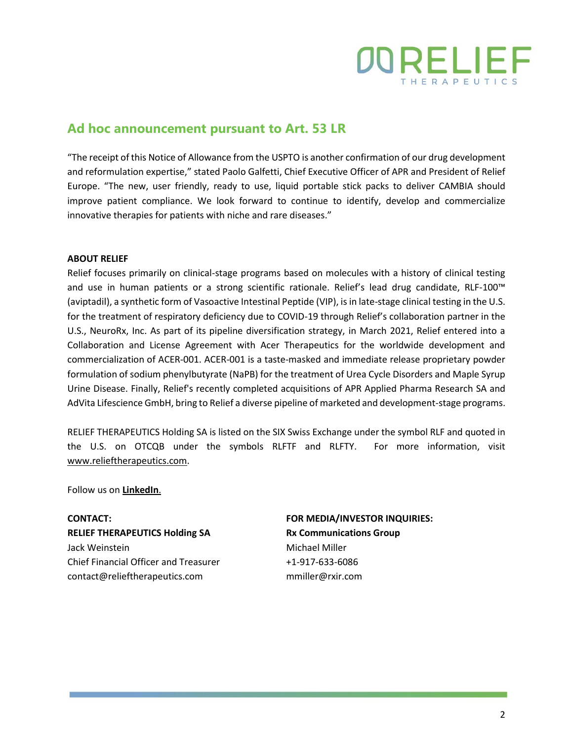

## **Ad hoc announcement pursuant to Art. 53 LR**

"The receipt of this Notice of Allowance from the USPTO is another confirmation of our drug development and reformulation expertise," stated Paolo Galfetti, Chief Executive Officer of APR and President of Relief Europe. "The new, user friendly, ready to use, liquid portable stick packs to deliver CAMBIA should improve patient compliance. We look forward to continue to identify, develop and commercialize innovative therapies for patients with niche and rare diseases."

## **ABOUT RELIEF**

Relief focuses primarily on clinical-stage programs based on molecules with a history of clinical testing and use in human patients or a strong scientific rationale. Relief's lead drug candidate, RLF-100™ (aviptadil), a synthetic form of Vasoactive Intestinal Peptide (VIP), is in late-stage clinical testing in the U.S. for the treatment of respiratory deficiency due to COVID-19 through Relief's collaboration partner in the U.S., NeuroRx, Inc. As part of its pipeline diversification strategy, in March 2021, Relief entered into a Collaboration and License Agreement with Acer Therapeutics for the worldwide development and commercialization of ACER-001. ACER-001 is a taste-masked and immediate release proprietary powder formulation of sodium phenylbutyrate (NaPB) for the treatment of Urea Cycle Disorders and Maple Syrup Urine Disease. Finally, Relief's recently completed acquisitions of APR Applied Pharma Research SA and AdVita Lifescience GmbH, bring to Relief a diverse pipeline of marketed and development-stage programs.

RELIEF THERAPEUTICS Holding SA is listed on the SIX Swiss Exchange under the symbol RLF and quoted in the U.S. on OTCQB under the symbols RLFTF and RLFTY. For more information, visit [www.relieftherapeutics.com.](http://www.relieftherapeutics.com/)

Follow us on **[LinkedIn](https://www.linkedin.com/company/relief-therapeutics-holding-sa/?viewAsMember=true)**.

**CONTACT: RELIEF THERAPEUTICS Holding SA** Jack Weinstein Chief Financial Officer and Treasurer contact@relieftherapeutics.com

**FOR MEDIA/INVESTOR INQUIRIES: Rx Communications Group** Michael Miller +1-917-633-6086 mmiller@rxir.com